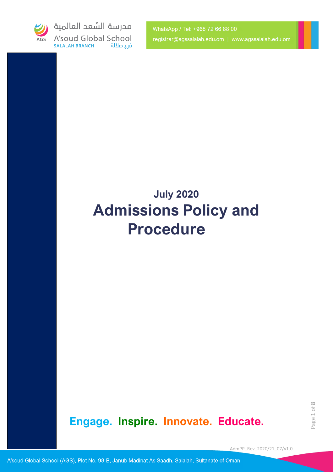

مدرسة السُعد العالمية A'soud Global School **SALALAH BRANCH** فرع صلالة

WhatsApp / Tel: +968 72 66 88 00 registrar@agssalalah.edu.om | www.agssalalah.edu.om

# **July 2020 Admissions Policy and Procedure**

**Engage. Inspire. Innovate. Educate.**

AdmPP\_Rev\_2020/21\_07/v1.0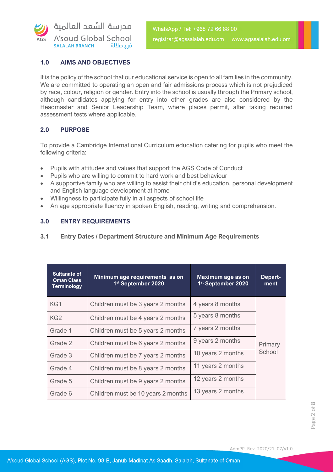

# **1.0 AIMS AND OBJECTIVES**

It is the policy of the school that our educational service is open to all families in the community. We are committed to operating an open and fair admissions process which is not prejudiced by race, colour, religion or gender. Entry into the school is usually through the Primary school, although candidates applying for entry into other grades are also considered by the Headmaster and Senior Leadership Team, where places permit, after taking required assessment tests where applicable.

# **2.0 PURPOSE**

To provide a Cambridge International Curriculum education catering for pupils who meet the following criteria:

- Pupils with attitudes and values that support the AGS Code of Conduct
- Pupils who are willing to commit to hard work and best behaviour
- A supportive family who are willing to assist their child's education, personal development and English language development at home
- Willingness to participate fully in all aspects of school life
- An age appropriate fluency in spoken English, reading, writing and comprehension.

# **3.0 ENTRY REQUIREMENTS**

# **3.1 Entry Dates / Department Structure and Minimum Age Requirements**

| <b>Sultanate of</b><br><b>Oman Class</b><br><b>Terminology</b> | Minimum age requirements as on<br>1st September 2020 | Maximum age as on<br>1st September 2020 | Depart-<br>ment   |
|----------------------------------------------------------------|------------------------------------------------------|-----------------------------------------|-------------------|
| KG1                                                            | Children must be 3 years 2 months                    | 4 years 8 months                        | Primary<br>School |
| KG <sub>2</sub>                                                | Children must be 4 years 2 months                    | 5 years 8 months                        |                   |
| Grade 1                                                        | Children must be 5 years 2 months                    | 7 years 2 months                        |                   |
| Grade 2                                                        | Children must be 6 years 2 months                    | 9 years 2 months                        |                   |
| Grade 3                                                        | Children must be 7 years 2 months                    | 10 years 2 months                       |                   |
| Grade 4                                                        | Children must be 8 years 2 months                    | 11 years 2 months                       |                   |
| Grade 5                                                        | Children must be 9 years 2 months                    | 12 years 2 months                       |                   |
| Grade 6                                                        | Children must be 10 years 2 months                   | 13 years 2 months                       |                   |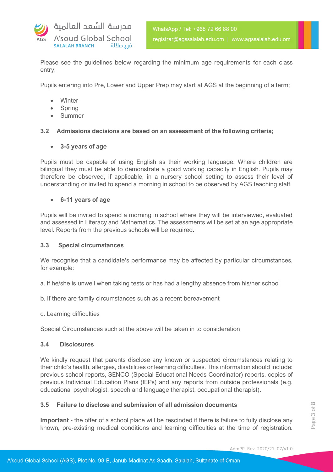

Please see the guidelines below regarding the minimum age requirements for each class entry;

Pupils entering into Pre, Lower and Upper Prep may start at AGS at the beginning of a term;

- **Winter**
- Spring
- Summer

# **3.2 Admissions decisions are based on an assessment of the following criteria;**

**3-5 years of age**

Pupils must be capable of using English as their working language. Where children are bilingual they must be able to demonstrate a good working capacity in English. Pupils may therefore be observed, if applicable, in a nursery school setting to assess their level of understanding or invited to spend a morning in school to be observed by AGS teaching staff.

# **6-11 years of age**

Pupils will be invited to spend a morning in school where they will be interviewed, evaluated and assessed in Literacy and Mathematics. The assessments will be set at an age appropriate level. Reports from the previous schools will be required.

#### **3.3 Special circumstances**

We recognise that a candidate's performance may be affected by particular circumstances, for example:

- a. If he/she is unwell when taking tests or has had a lengthy absence from his/her school
- b. If there are family circumstances such as a recent bereavement
- c. Learning difficulties

Special Circumstances such at the above will be taken in to consideration

#### **3.4 Disclosures**

We kindly request that parents disclose any known or suspected circumstances relating to their child's health, allergies, disabilities or learning difficulties. This information should include: previous school reports, SENCO (Special Educational Needs Coordinator) reports, copies of previous Individual Education Plans (IEPs) and any reports from outside professionals (e.g. educational psychologist, speech and language therapist, occupational therapist).

# **3.5 Failure to disclose and submission of all admission documents**

**Important -** the offer of a school place will be rescinded if there is failure to fully disclose any known, pre-existing medical conditions and learning difficulties at the time of registration.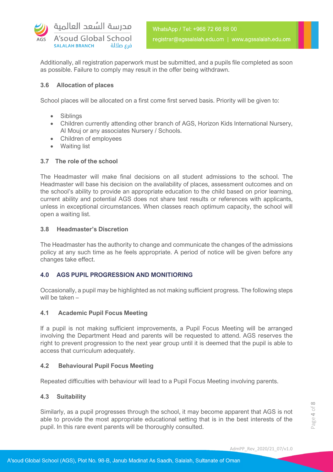

Additionally, all registration paperwork must be submitted, and a pupils file completed as soon as possible. Failure to comply may result in the offer being withdrawn.

# **3.6 Allocation of places**

School places will be allocated on a first come first served basis. Priority will be given to:

- Siblings
- Children currently attending other branch of AGS, Horizon Kids International Nursery, Al Mouj or any associates Nursery / Schools.
- Children of employees
- Waiting list

# **3.7 The role of the school**

The Headmaster will make final decisions on all student admissions to the school. The Headmaster will base his decision on the availability of places, assessment outcomes and on the school's ability to provide an appropriate education to the child based on prior learning, current ability and potential AGS does not share test results or references with applicants, unless in exceptional circumstances. When classes reach optimum capacity, the school will open a waiting list.

# **3.8 Headmaster's Discretion**

The Headmaster has the authority to change and communicate the changes of the admissions policy at any such time as he feels appropriate. A period of notice will be given before any changes take effect.

# **4.0 AGS PUPIL PROGRESSION AND MONITIORING**

Occasionally, a pupil may be highlighted as not making sufficient progress. The following steps will be taken –

#### **4.1 Academic Pupil Focus Meeting**

If a pupil is not making sufficient improvements, a Pupil Focus Meeting will be arranged involving the Department Head and parents will be requested to attend. AGS reserves the right to prevent progression to the next year group until it is deemed that the pupil is able to access that curriculum adequately.

# **4.2 Behavioural Pupil Focus Meeting**

Repeated difficulties with behaviour will lead to a Pupil Focus Meeting involving parents.

# **4.3 Suitability**

Similarly, as a pupil progresses through the school, it may become apparent that AGS is not able to provide the most appropriate educational setting that is in the best interests of the pupil. In this rare event parents will be thoroughly consulted.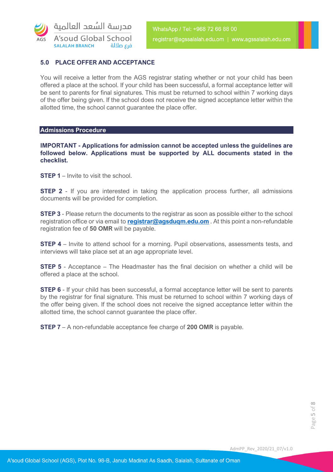

# **5.0 PLACE OFFER AND ACCEPTANCE**

You will receive a letter from the AGS registrar stating whether or not your child has been offered a place at the school. If your child has been successful, a formal acceptance letter will be sent to parents for final signatures. This must be returned to school within 7 working days of the offer being given. If the school does not receive the signed acceptance letter within the allotted time, the school cannot guarantee the place offer.

#### **Admissions Procedure**

**IMPORTANT - Applications for admission cannot be accepted unless the guidelines are followed below. Applications must be supported by ALL documents stated in the checklist.**

**STEP 1** – Invite to visit the school.

**STEP 2** - If you are interested in taking the application process further, all admissions documents will be provided for completion.

**STEP 3** - Please return the documents to the registrar as soon as possible either to the school registration office or via email to **[registrar@agsduqm.edu.om](mailto:registrar@agsduqm.edu.om)** . At this point a non-refundable registration fee of **50 OMR** will be payable.

**STEP 4** – Invite to attend school for a morning. Pupil observations, assessments tests, and interviews will take place set at an age appropriate level.

**STEP 5** - Acceptance – The Headmaster has the final decision on whether a child will be offered a place at the school.

**STEP 6** - If your child has been successful, a formal acceptance letter will be sent to parents by the registrar for final signature. This must be returned to school within 7 working days of the offer being given. If the school does not receive the signed acceptance letter within the allotted time, the school cannot guarantee the place offer.

**STEP 7** – A non-refundable acceptance fee charge of **200 OMR** is payable.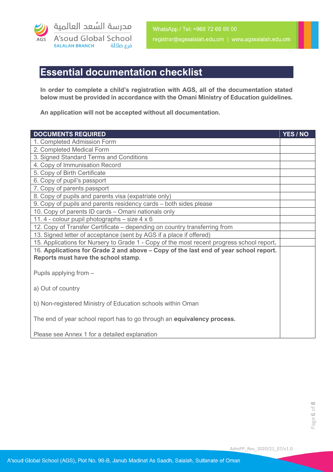

# **Essential documentation checklist**

**In order to complete a child's registration with AGS, all of the documentation stated below must be provided in accordance with the Omani Ministry of Education guidelines.** 

**An application will not be accepted without all documentation.**

| <b>DOCUMENTS REQUIRED</b>                                                                 | YES / NO |  |
|-------------------------------------------------------------------------------------------|----------|--|
| 1. Completed Admission Form                                                               |          |  |
| 2. Completed Medical Form                                                                 |          |  |
| 3. Signed Standard Terms and Conditions                                                   |          |  |
| 4. Copy of Immunisation Record                                                            |          |  |
| 5. Copy of Birth Certificate                                                              |          |  |
| 6. Copy of pupil's passport                                                               |          |  |
| 7. Copy of parents passport                                                               |          |  |
| 8. Copy of pupils and parents visa (expatriate only)                                      |          |  |
| 9. Copy of pupils and parents residency cards – both sides please                         |          |  |
| 10. Copy of parents ID cards - Omani nationals only                                       |          |  |
| 11.4 - colour pupil photographs – size 4 x 6                                              |          |  |
| 12. Copy of Transfer Certificate – depending on country transferring from                 |          |  |
| 13. Signed letter of acceptance (sent by AGS if a place if offered)                       |          |  |
| 15. Applications for Nursery to Grade 1 - Copy of the most recent progress school report. |          |  |
| 16. Applications for Grade 2 and above – Copy of the last end of year school report.      |          |  |
| Reports must have the school stamp.                                                       |          |  |
|                                                                                           |          |  |
| Pupils applying from -                                                                    |          |  |
|                                                                                           |          |  |
| a) Out of country                                                                         |          |  |
|                                                                                           |          |  |
| b) Non-registered Ministry of Education schools within Oman                               |          |  |
|                                                                                           |          |  |
| The end of year school report has to go through an <b>equivalency process.</b>            |          |  |
|                                                                                           |          |  |
| Please see Annex 1 for a detailed explanation                                             |          |  |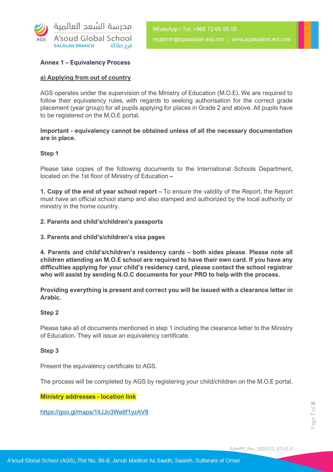

# **Annex 1 – Equivalency Process**

# **a) Applying from out of country**

AGS operates under the supervision of the Ministry of Education (M.O.E). We are required to follow their equivalency rules, with regards to seeking authorisation for the correct grade placement (year group) for all pupils applying for places in Grade 2 and above. All pupils have to be registered on the M.O.E portal.

# **Important - equivalency cannot be obtained unless of all the necessary documentation are in place.**

#### **Step 1**

Please take copies of the following documents to the International Schools Department, located on the 1st floor of Ministry of Education **–**

**1. Copy of the end of year school report –** To ensure the validity of the Report, the Report must have an official school stamp and also stamped and authorized by the local authority or ministry in the home country.

**2. Parents and child's/children's passports**

**3. Parents and child's/children's visa pages**

**4. Parents and child's/children's residency cards – both sides please. Please note all children attending an M.O.E school are required to have their own card. If you have any difficulties applying for your child's residency card, please contact the school registrar who will assist by sending N.O.C documents for your PRO to help with the process.**

**Providing everything is present and correct you will be issued with a clearance letter in Arabic.**

#### **Step 2**

Please take all of documents mentioned in step 1 including the clearance letter to the Ministry of Education. They will issue an equivalency certificate.

#### **Step 3**

Present the equivalency certificate to AGS.

The process will be completed by AGS by registering your child/children on the M.O.E portal.

#### **Ministry addresses - location link**

<https://goo.gl/maps/1itJJo3We8f1yzAV8>